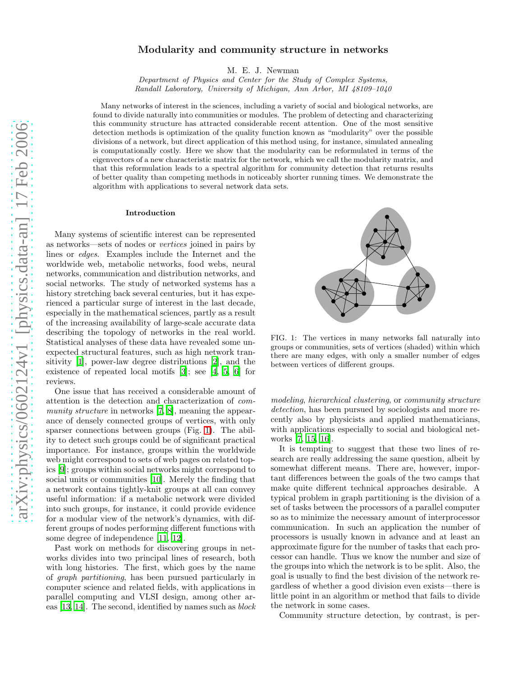# Modularity and community structure in networks

M. E. J. Newman

Department of Physics and Center for the Study of Complex Systems, Randall Laboratory, University of Michigan, Ann Arbor, MI 48109–1040

Many networks of interest in the sciences, including a variety of social and biological networks, are found to divide naturally into communities or modules. The problem of detecting and characterizing this community structure has attracted considerable recent attention. One of the most sensitive detection methods is optimization of the quality function known as "modularity" over the possible divisions of a network, but direct application of this method using, for instance, simulated annealing is computationally costly. Here we show that the modularity can be reformulated in terms of the eigenvectors of a new characteristic matrix for the network, which we call the modularity matrix, and that this reformulation leads to a spectral algorithm for community detection that returns results of better quality than competing methods in noticeably shorter running times. We demonstrate the algorithm with applications to several network data sets.

### Introduction

Many systems of scientific interest can be represented as networks—sets of nodes or vertices joined in pairs by lines or edges. Examples include the Internet and the worldwide web, metabolic networks, food webs, neural networks, communication and distribution networks, and social networks. The study of networked systems has a history stretching back several centuries, but it has experienced a particular surge of interest in the last decade, especially in the mathematical sciences, partly as a result of the increasing availability of large-scale accurate data describing the topology of networks in the real world. Statistical analyses of these data have revealed some unexpected structural features, such as high network transitivity [\[1](#page-6-0)], power-law degree distributions [\[2](#page-6-1)], and the existence of repeated local motifs [\[3](#page-6-2)]; see [\[4,](#page-6-3) [5,](#page-6-4) [6\]](#page-6-5) for reviews.

One issue that has received a considerable amount of attention is the detection and characterization of com-munity structure in networks [\[7](#page-6-6), [8](#page-6-7)], meaning the appearance of densely connected groups of vertices, with only sparser connections between groups (Fig. [1\)](#page-0-0). The ability to detect such groups could be of significant practical importance. For instance, groups within the worldwide web might correspond to sets of web pages on related topics [\[9](#page-6-8)]; groups within social networks might correspond to social units or communities [\[10](#page-6-9)]. Merely the finding that a network contains tightly-knit groups at all can convey useful information: if a metabolic network were divided into such groups, for instance, it could provide evidence for a modular view of the network's dynamics, with different groups of nodes performing different functions with some degree of independence [\[11,](#page-6-10) [12\]](#page-6-11).

Past work on methods for discovering groups in networks divides into two principal lines of research, both with long histories. The first, which goes by the name of graph partitioning, has been pursued particularly in computer science and related fields, with applications in parallel computing and VLSI design, among other areas [\[13](#page-6-12), [14\]](#page-6-13). The second, identified by names such as block



<span id="page-0-0"></span>FIG. 1: The vertices in many networks fall naturally into groups or communities, sets of vertices (shaded) within which there are many edges, with only a smaller number of edges between vertices of different groups.

modeling, hierarchical clustering, or community structure detection, has been pursued by sociologists and more recently also by physicists and applied mathematicians, with applications especially to social and biological networks [\[7](#page-6-6), [15](#page-6-14), [16](#page-6-15)].

It is tempting to suggest that these two lines of research are really addressing the same question, albeit by somewhat different means. There are, however, important differences between the goals of the two camps that make quite different technical approaches desirable. A typical problem in graph partitioning is the division of a set of tasks between the processors of a parallel computer so as to minimize the necessary amount of interprocessor communication. In such an application the number of processors is usually known in advance and at least an approximate figure for the number of tasks that each processor can handle. Thus we know the number and size of the groups into which the network is to be split. Also, the goal is usually to find the best division of the network regardless of whether a good division even exists—there is little point in an algorithm or method that fails to divide the network in some cases.

Community structure detection, by contrast, is per-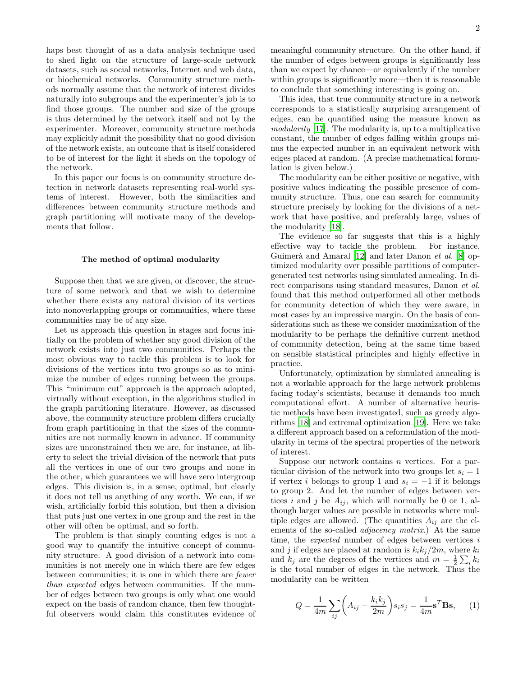haps best thought of as a data analysis technique used to shed light on the structure of large-scale network datasets, such as social networks, Internet and web data, or biochemical networks. Community structure methods normally assume that the network of interest divides naturally into subgroups and the experimenter's job is to find those groups. The number and size of the groups is thus determined by the network itself and not by the experimenter. Moreover, community structure methods may explicitly admit the possibility that no good division of the network exists, an outcome that is itself considered to be of interest for the light it sheds on the topology of the network.

In this paper our focus is on community structure detection in network datasets representing real-world systems of interest. However, both the similarities and differences between community structure methods and graph partitioning will motivate many of the developments that follow.

## The method of optimal modularity

Suppose then that we are given, or discover, the structure of some network and that we wish to determine whether there exists any natural division of its vertices into nonoverlapping groups or communities, where these communities may be of any size.

Let us approach this question in stages and focus initially on the problem of whether any good division of the network exists into just two communities. Perhaps the most obvious way to tackle this problem is to look for divisions of the vertices into two groups so as to minimize the number of edges running between the groups. This "minimum cut" approach is the approach adopted, virtually without exception, in the algorithms studied in the graph partitioning literature. However, as discussed above, the community structure problem differs crucially from graph partitioning in that the sizes of the communities are not normally known in advance. If community sizes are unconstrained then we are, for instance, at liberty to select the trivial division of the network that puts all the vertices in one of our two groups and none in the other, which guarantees we will have zero intergroup edges. This division is, in a sense, optimal, but clearly it does not tell us anything of any worth. We can, if we wish, artificially forbid this solution, but then a division that puts just one vertex in one group and the rest in the other will often be optimal, and so forth.

The problem is that simply counting edges is not a good way to quantify the intuitive concept of community structure. A good division of a network into communities is not merely one in which there are few edges between communities; it is one in which there are fewer than expected edges between communities. If the number of edges between two groups is only what one would expect on the basis of random chance, then few thoughtful observers would claim this constitutes evidence of meaningful community structure. On the other hand, if the number of edges between groups is significantly less than we expect by chance—or equivalently if the number within groups is significantly more—then it is reasonable to conclude that something interesting is going on.

This idea, that true community structure in a network corresponds to a statistically surprising arrangement of edges, can be quantified using the measure known as modularity [\[17](#page-6-16)]. The modularity is, up to a multiplicative constant, the number of edges falling within groups minus the expected number in an equivalent network with edges placed at random. (A precise mathematical formulation is given below.)

The modularity can be either positive or negative, with positive values indicating the possible presence of community structure. Thus, one can search for community structure precisely by looking for the divisions of a network that have positive, and preferably large, values of the modularity [\[18](#page-6-17)].

The evidence so far suggests that this is a highly effective way to tackle the problem. For instance, Guimerà and Amaral  $[12]$  and later Danon *et al.*  $[8]$  optimized modularity over possible partitions of computergenerated test networks using simulated annealing. In direct comparisons using standard measures, Danon et al. found that this method outperformed all other methods for community detection of which they were aware, in most cases by an impressive margin. On the basis of considerations such as these we consider maximization of the modularity to be perhaps the definitive current method of community detection, being at the same time based on sensible statistical principles and highly effective in practice.

Unfortunately, optimization by simulated annealing is not a workable approach for the large network problems facing today's scientists, because it demands too much computational effort. A number of alternative heuristic methods have been investigated, such as greedy algorithms [\[18\]](#page-6-17) and extremal optimization [\[19\]](#page-6-18). Here we take a different approach based on a reformulation of the modularity in terms of the spectral properties of the network of interest.

Suppose our network contains  $n$  vertices. For a particular division of the network into two groups let  $s_i = 1$ if vertex i belongs to group 1 and  $s_i = -1$  if it belongs to group 2. And let the number of edges between vertices i and j be  $A_{ij}$ , which will normally be 0 or 1, although larger values are possible in networks where multiple edges are allowed. (The quantities  $A_{ij}$  are the elements of the so-called *adjacency matrix*.) At the same time, the *expected* number of edges between vertices i and j if edges are placed at random is  $k_i k_j/2m$ , where  $k_i$ and  $k_j$  are the degrees of the vertices and  $m = \frac{1}{2} \sum_i k_i$ is the total number of edges in the network. Thus the modularity can be written

<span id="page-1-0"></span>
$$
Q = \frac{1}{4m} \sum_{ij} \left( A_{ij} - \frac{k_i k_j}{2m} \right) s_i s_j = \frac{1}{4m} \mathbf{s}^T \mathbf{B} \mathbf{s}, \qquad (1)
$$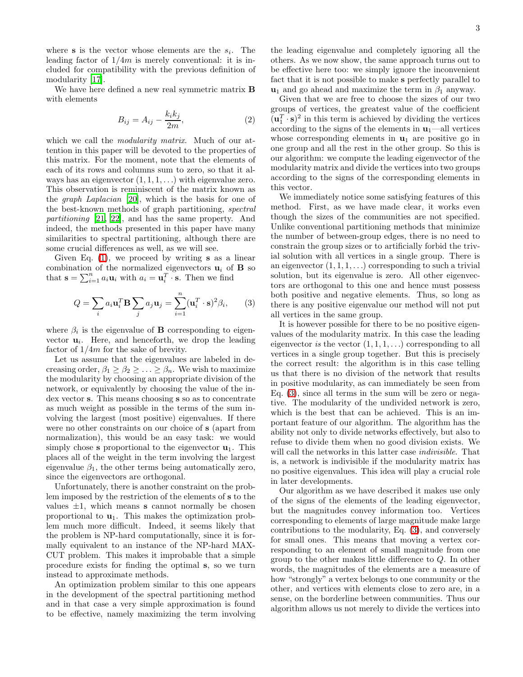where  $s$  is the vector whose elements are the  $s_i$ . The leading factor of  $1/4m$  is merely conventional: it is included for compatibility with the previous definition of modularity [\[17\]](#page-6-16).

<span id="page-2-1"></span>We have here defined a new real symmetric matrix B with elements

$$
B_{ij} = A_{ij} - \frac{k_i k_j}{2m},\tag{2}
$$

which we call the *modularity matrix*. Much of our attention in this paper will be devoted to the properties of this matrix. For the moment, note that the elements of each of its rows and columns sum to zero, so that it always has an eigenvector  $(1, 1, 1, ...)$  with eigenvalue zero. This observation is reminiscent of the matrix known as the graph Laplacian [\[20](#page-6-19)], which is the basis for one of the best-known methods of graph partitioning, spectral partitioning [\[21,](#page-6-20) [22\]](#page-6-21), and has the same property. And indeed, the methods presented in this paper have many similarities to spectral partitioning, although there are some crucial differences as well, as we will see.

Given Eq.  $(1)$ , we proceed by writing **s** as a linear combination of the normalized eigenvectors  $\mathbf{u}_i$  of **B** so that  $\mathbf{s} = \sum_{i=1}^{n} a_i \mathbf{u}_i$  with  $a_i = \mathbf{u}_i^T \cdot \mathbf{s}$ . Then we find

<span id="page-2-0"></span>
$$
Q = \sum_{i} a_i \mathbf{u}_i^T \mathbf{B} \sum_{j} a_j \mathbf{u}_j = \sum_{i=1}^n (\mathbf{u}_i^T \cdot \mathbf{s})^2 \beta_i, \qquad (3)
$$

where  $\beta_i$  is the eigenvalue of **B** corresponding to eigenvector  $\mathbf{u}_i$ . Here, and henceforth, we drop the leading factor of 1/4m for the sake of brevity.

Let us assume that the eigenvalues are labeled in decreasing order,  $\beta_1 \geq \beta_2 \geq \ldots \geq \beta_n$ . We wish to maximize the modularity by choosing an appropriate division of the network, or equivalently by choosing the value of the index vector s. This means choosing s so as to concentrate as much weight as possible in the terms of the sum involving the largest (most positive) eigenvalues. If there were no other constraints on our choice of s (apart from normalization), this would be an easy task: we would simply chose s proportional to the eigenvector  $\mathbf{u}_1$ . This places all of the weight in the term involving the largest eigenvalue  $\beta_1$ , the other terms being automatically zero, since the eigenvectors are orthogonal.

Unfortunately, there is another constraint on the problem imposed by the restriction of the elements of s to the values  $\pm 1$ , which means **s** cannot normally be chosen proportional to  $\mathbf{u}_1$ . This makes the optimization problem much more difficult. Indeed, it seems likely that the problem is NP-hard computationally, since it is formally equivalent to an instance of the NP-hard MAX-CUT problem. This makes it improbable that a simple procedure exists for finding the optimal s, so we turn instead to approximate methods.

An optimization problem similar to this one appears in the development of the spectral partitioning method and in that case a very simple approximation is found to be effective, namely maximizing the term involving

the leading eigenvalue and completely ignoring all the others. As we now show, the same approach turns out to be effective here too: we simply ignore the inconvenient fact that it is not possible to make s perfectly parallel to  $u_1$  and go ahead and maximize the term in  $\beta_1$  anyway.

Given that we are free to choose the sizes of our two groups of vertices, the greatest value of the coefficient  $(\mathbf{u}_1^T \cdot \mathbf{s})^2$  in this term is achieved by dividing the vertices according to the signs of the elements in  $\mathbf{u}_1$ —all vertices whose corresponding elements in  $\mathbf{u}_1$  are positive go in one group and all the rest in the other group. So this is our algorithm: we compute the leading eigenvector of the modularity matrix and divide the vertices into two groups according to the signs of the corresponding elements in this vector.

We immediately notice some satisfying features of this method. First, as we have made clear, it works even though the sizes of the communities are not specified. Unlike conventional partitioning methods that minimize the number of between-group edges, there is no need to constrain the group sizes or to artificially forbid the trivial solution with all vertices in a single group. There is an eigenvector  $(1, 1, 1, ...)$  corresponding to such a trivial solution, but its eigenvalue is zero. All other eigenvectors are orthogonal to this one and hence must possess both positive and negative elements. Thus, so long as there is any positive eigenvalue our method will not put all vertices in the same group.

It is however possible for there to be no positive eigenvalues of the modularity matrix. In this case the leading eigenvector is the vector  $(1, 1, 1, ...)$  corresponding to all vertices in a single group together. But this is precisely the correct result: the algorithm is in this case telling us that there is no division of the network that results in positive modularity, as can immediately be seen from Eq. [\(3\)](#page-2-0), since all terms in the sum will be zero or negative. The modularity of the undivided network is zero, which is the best that can be achieved. This is an important feature of our algorithm. The algorithm has the ability not only to divide networks effectively, but also to refuse to divide them when no good division exists. We will call the networks in this latter case indivisible. That is, a network is indivisible if the modularity matrix has no positive eigenvalues. This idea will play a crucial role in later developments.

Our algorithm as we have described it makes use only of the signs of the elements of the leading eigenvector, but the magnitudes convey information too. Vertices corresponding to elements of large magnitude make large contributions to the modularity, Eq. [\(3\)](#page-2-0), and conversely for small ones. This means that moving a vertex corresponding to an element of small magnitude from one group to the other makes little difference to Q. In other words, the magnitudes of the elements are a measure of how "strongly" a vertex belongs to one community or the other, and vertices with elements close to zero are, in a sense, on the borderline between communities. Thus our algorithm allows us not merely to divide the vertices into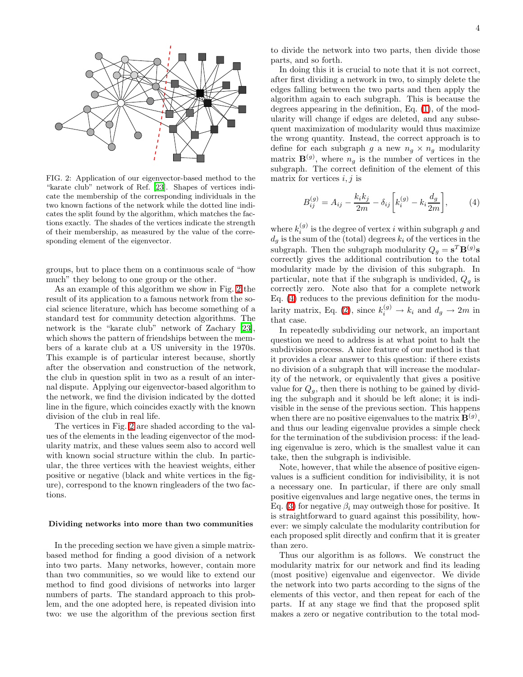

<span id="page-3-0"></span>FIG. 2: Application of our eigenvector-based method to the "karate club" network of Ref. [\[23\]](#page-6-22). Shapes of vertices indicate the membership of the corresponding individuals in the two known factions of the network while the dotted line indicates the split found by the algorithm, which matches the factions exactly. The shades of the vertices indicate the strength of their membership, as measured by the value of the corresponding element of the eigenvector.

groups, but to place them on a continuous scale of "how much" they belong to one group or the other.

As an example of this algorithm we show in Fig. [2](#page-3-0) the result of its application to a famous network from the social science literature, which has become something of a standard test for community detection algorithms. The network is the "karate club" network of Zachary [\[23\]](#page-6-22), which shows the pattern of friendships between the members of a karate club at a US university in the 1970s. This example is of particular interest because, shortly after the observation and construction of the network, the club in question split in two as a result of an internal dispute. Applying our eigenvector-based algorithm to the network, we find the division indicated by the dotted line in the figure, which coincides exactly with the known division of the club in real life.

The vertices in Fig. [2](#page-3-0) are shaded according to the values of the elements in the leading eigenvector of the modularity matrix, and these values seem also to accord well with known social structure within the club. In particular, the three vertices with the heaviest weights, either positive or negative (black and white vertices in the figure), correspond to the known ringleaders of the two factions.

#### Dividing networks into more than two communities

In the preceding section we have given a simple matrixbased method for finding a good division of a network into two parts. Many networks, however, contain more than two communities, so we would like to extend our method to find good divisions of networks into larger numbers of parts. The standard approach to this problem, and the one adopted here, is repeated division into two: we use the algorithm of the previous section first

to divide the network into two parts, then divide those parts, and so forth.

In doing this it is crucial to note that it is not correct, after first dividing a network in two, to simply delete the edges falling between the two parts and then apply the algorithm again to each subgraph. This is because the degrees appearing in the definition, Eq. [\(1\)](#page-1-0), of the modularity will change if edges are deleted, and any subsequent maximization of modularity would thus maximize the wrong quantity. Instead, the correct approach is to define for each subgraph g a new  $n_g \times n_g$  modularity matrix  $\mathbf{B}^{(g)}$ , where  $n_g$  is the number of vertices in the subgraph. The correct definition of the element of this matrix for vertices  $i, j$  is

<span id="page-3-1"></span>
$$
B_{ij}^{(g)} = A_{ij} - \frac{k_i k_j}{2m} - \delta_{ij} \left[ k_i^{(g)} - k_i \frac{d_g}{2m} \right],
$$
 (4)

where  $k_i^{(g)}$  is the degree of vertex i within subgraph g and  $d_g$  is the sum of the (total) degrees  $k_i$  of the vertices in the subgraph. Then the subgraph modularity  $Q_g = \mathbf{s}^T \mathbf{B}^{(g)} \mathbf{s}$ correctly gives the additional contribution to the total modularity made by the division of this subgraph. In particular, note that if the subgraph is undivided,  $Q<sub>q</sub>$  is correctly zero. Note also that for a complete network Eq. [\(4\)](#page-3-1) reduces to the previous definition for the modu-larity matrix, Eq. [\(2\)](#page-2-1), since  $k_i^{(g)} \to k_i$  and  $d_g \to 2m$  in that case.

In repeatedly subdividing our network, an important question we need to address is at what point to halt the subdivision process. A nice feature of our method is that it provides a clear answer to this question: if there exists no division of a subgraph that will increase the modularity of the network, or equivalently that gives a positive value for  $Q_g$ , then there is nothing to be gained by dividing the subgraph and it should be left alone; it is indivisible in the sense of the previous section. This happens when there are no positive eigenvalues to the matrix  $\mathbf{B}^{(g)}$ , and thus our leading eigenvalue provides a simple check for the termination of the subdivision process: if the leading eigenvalue is zero, which is the smallest value it can take, then the subgraph is indivisible.

Note, however, that while the absence of positive eigenvalues is a sufficient condition for indivisibility, it is not a necessary one. In particular, if there are only small positive eigenvalues and large negative ones, the terms in Eq. [\(3\)](#page-2-0) for negative  $\beta_i$  may outweigh those for positive. It is straightforward to guard against this possibility, however: we simply calculate the modularity contribution for each proposed split directly and confirm that it is greater than zero.

Thus our algorithm is as follows. We construct the modularity matrix for our network and find its leading (most positive) eigenvalue and eigenvector. We divide the network into two parts according to the signs of the elements of this vector, and then repeat for each of the parts. If at any stage we find that the proposed split makes a zero or negative contribution to the total mod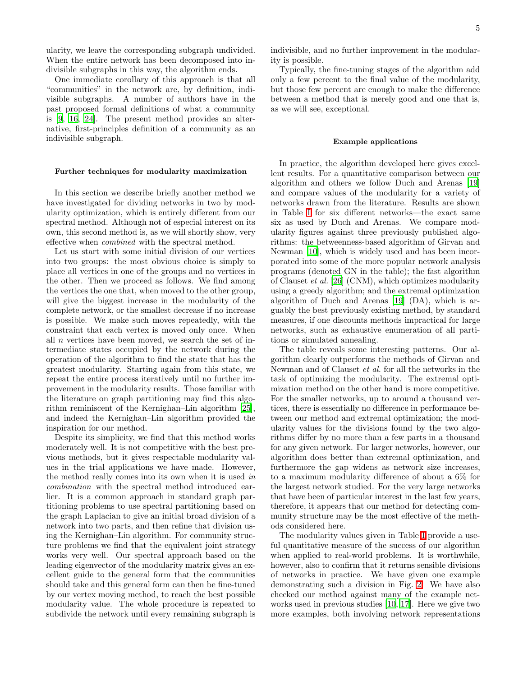ularity, we leave the corresponding subgraph undivided. When the entire network has been decomposed into indivisible subgraphs in this way, the algorithm ends.

One immediate corollary of this approach is that all "communities" in the network are, by definition, indivisible subgraphs. A number of authors have in the past proposed formal definitions of what a community is [\[9](#page-6-8), [16](#page-6-15), [24](#page-6-23)]. The present method provides an alternative, first-principles definition of a community as an indivisible subgraph.

#### Further techniques for modularity maximization

In this section we describe briefly another method we have investigated for dividing networks in two by modularity optimization, which is entirely different from our spectral method. Although not of especial interest on its own, this second method is, as we will shortly show, very effective when combined with the spectral method.

Let us start with some initial division of our vertices into two groups: the most obvious choice is simply to place all vertices in one of the groups and no vertices in the other. Then we proceed as follows. We find among the vertices the one that, when moved to the other group, will give the biggest increase in the modularity of the complete network, or the smallest decrease if no increase is possible. We make such moves repeatedly, with the constraint that each vertex is moved only once. When all  $n$  vertices have been moved, we search the set of intermediate states occupied by the network during the operation of the algorithm to find the state that has the greatest modularity. Starting again from this state, we repeat the entire process iteratively until no further improvement in the modularity results. Those familiar with the literature on graph partitioning may find this algorithm reminiscent of the Kernighan–Lin algorithm [\[25\]](#page-6-24), and indeed the Kernighan–Lin algorithm provided the inspiration for our method.

Despite its simplicity, we find that this method works moderately well. It is not competitive with the best previous methods, but it gives respectable modularity values in the trial applications we have made. However, the method really comes into its own when it is used in combination with the spectral method introduced earlier. It is a common approach in standard graph partitioning problems to use spectral partitioning based on the graph Laplacian to give an initial broad division of a network into two parts, and then refine that division using the Kernighan–Lin algorithm. For community structure problems we find that the equivalent joint strategy works very well. Our spectral approach based on the leading eigenvector of the modularity matrix gives an excellent guide to the general form that the communities should take and this general form can then be fine-tuned by our vertex moving method, to reach the best possible modularity value. The whole procedure is repeated to subdivide the network until every remaining subgraph is indivisible, and no further improvement in the modularity is possible.

Typically, the fine-tuning stages of the algorithm add only a few percent to the final value of the modularity, but those few percent are enough to make the difference between a method that is merely good and one that is, as we will see, exceptional.

#### Example applications

In practice, the algorithm developed here gives excellent results. For a quantitative comparison between our algorithm and others we follow Duch and Arenas [\[19](#page-6-18)] and compare values of the modularity for a variety of networks drawn from the literature. Results are shown in Table [I](#page-5-0) for six different networks—the exact same six as used by Duch and Arenas. We compare modularity figures against three previously published algorithms: the betweenness-based algorithm of Girvan and Newman [\[10\]](#page-6-9), which is widely used and has been incorporated into some of the more popular network analysis programs (denoted GN in the table); the fast algorithm of Clauset et al. [\[26](#page-6-25)] (CNM), which optimizes modularity using a greedy algorithm; and the extremal optimization algorithm of Duch and Arenas [\[19\]](#page-6-18) (DA), which is arguably the best previously existing method, by standard measures, if one discounts methods impractical for large networks, such as exhaustive enumeration of all partitions or simulated annealing.

The table reveals some interesting patterns. Our algorithm clearly outperforms the methods of Girvan and Newman and of Clauset et al. for all the networks in the task of optimizing the modularity. The extremal optimization method on the other hand is more competitive. For the smaller networks, up to around a thousand vertices, there is essentially no difference in performance between our method and extremal optimization; the modularity values for the divisions found by the two algorithms differ by no more than a few parts in a thousand for any given network. For larger networks, however, our algorithm does better than extremal optimization, and furthermore the gap widens as network size increases, to a maximum modularity difference of about a 6% for the largest network studied. For the very large networks that have been of particular interest in the last few years, therefore, it appears that our method for detecting community structure may be the most effective of the methods considered here.

The modularity values given in Table [I](#page-5-0) provide a useful quantitative measure of the success of our algorithm when applied to real-world problems. It is worthwhile, however, also to confirm that it returns sensible divisions of networks in practice. We have given one example demonstrating such a division in Fig. [2.](#page-3-0) We have also checked our method against many of the example networks used in previous studies [\[10,](#page-6-9) [17](#page-6-16)]. Here we give two more examples, both involving network representations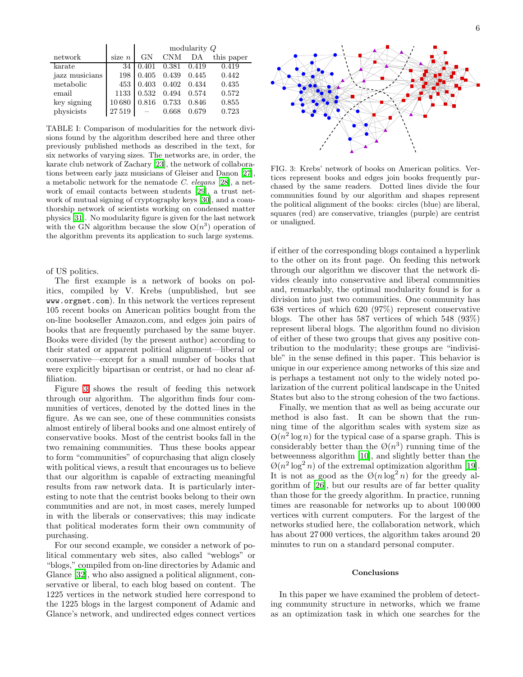|                |          | modularity $Q$ |            |       |            |
|----------------|----------|----------------|------------|-------|------------|
| network        | size $n$ | GN             | <b>CNM</b> | DA    | this paper |
| karate         | 34       | 0.401          | 0.381      | 0.419 | 0.419      |
| jazz musicians | 198      | 0.405          | 0.439      | 0.445 | 0.442      |
| metabolic      | 453      | 0.403          | 0.402      | 0.434 | 0.435      |
| email          | 1133     | 0.532          | 0.494      | 0.574 | 0.572      |
| key signing    | 10680    | 0.816          | 0.733      | 0.846 | 0.855      |
| physicists     | 27519    |                | 0.668      | 0.679 | 0.723      |

<span id="page-5-0"></span>TABLE I: Comparison of modularities for the network divisions found by the algorithm described here and three other previously published methods as described in the text, for six networks of varying sizes. The networks are, in order, the karate club network of Zachary [\[23\]](#page-6-22), the network of collaborations between early jazz musicians of Gleiser and Danon [\[27\]](#page-6-26), a metabolic network for the nematode C. elegans [\[28](#page-6-27)], a network of email contacts between students [\[29](#page-6-28)], a trust network of mutual signing of cryptography keys [\[30](#page-6-29)], and a coauthorship network of scientists working on condensed matter physics [\[31\]](#page-6-30). No modularity figure is given for the last network with the GN algorithm because the slow  $O(n^3)$  operation of the algorithm prevents its application to such large systems.

## of US politics.

The first example is a network of books on politics, compiled by V. Krebs (unpublished, but see www.orgnet.com). In this network the vertices represent 105 recent books on American politics bought from the on-line bookseller Amazon.com, and edges join pairs of books that are frequently purchased by the same buyer. Books were divided (by the present author) according to their stated or apparent political alignment—liberal or conservative—except for a small number of books that were explicitly bipartisan or centrist, or had no clear affiliation.

Figure [3](#page-5-1) shows the result of feeding this network through our algorithm. The algorithm finds four communities of vertices, denoted by the dotted lines in the figure. As we can see, one of these communities consists almost entirely of liberal books and one almost entirely of conservative books. Most of the centrist books fall in the two remaining communities. Thus these books appear to form "communities" of copurchasing that align closely with political views, a result that encourages us to believe that our algorithm is capable of extracting meaningful results from raw network data. It is particularly interesting to note that the centrist books belong to their own communities and are not, in most cases, merely lumped in with the liberals or conservatives; this may indicate that political moderates form their own community of purchasing.

For our second example, we consider a network of political commentary web sites, also called "weblogs" or "blogs," compiled from on-line directories by Adamic and Glance [\[32\]](#page-6-31), who also assigned a political alignment, conservative or liberal, to each blog based on content. The 1225 vertices in the network studied here correspond to the 1225 blogs in the largest component of Adamic and Glance's network, and undirected edges connect vertices



<span id="page-5-1"></span>FIG. 3: Krebs' network of books on American politics. Vertices represent books and edges join books frequently purchased by the same readers. Dotted lines divide the four communities found by our algorithm and shapes represent the political alignment of the books: circles (blue) are liberal, squares (red) are conservative, triangles (purple) are centrist or unaligned.

if either of the corresponding blogs contained a hyperlink to the other on its front page. On feeding this network through our algorithm we discover that the network divides cleanly into conservative and liberal communities and, remarkably, the optimal modularity found is for a division into just two communities. One community has 638 vertices of which 620 (97%) represent conservative blogs. The other has 587 vertices of which 548 (93%) represent liberal blogs. The algorithm found no division of either of these two groups that gives any positive contribution to the modularity; these groups are "indivisible" in the sense defined in this paper. This behavior is unique in our experience among networks of this size and is perhaps a testament not only to the widely noted polarization of the current political landscape in the United States but also to the strong cohesion of the two factions.

Finally, we mention that as well as being accurate our method is also fast. It can be shown that the running time of the algorithm scales with system size as  $O(n^2 \log n)$  for the typical case of a sparse graph. This is considerably better than the  $\mathcal{O}(n^3)$  running time of the betweenness algorithm [\[10\]](#page-6-9), and slightly better than the  $\mathcal{O}(n^2 \log^2 n)$  of the extremal optimization algorithm [\[19\]](#page-6-18). It is not as good as the  $\mathcal{O}(n \log^2 n)$  for the greedy algorithm of [\[26\]](#page-6-25), but our results are of far better quality than those for the greedy algorithm. In practice, running times are reasonable for networks up to about 100 000 vertices with current computers. For the largest of the networks studied here, the collaboration network, which has about 27 000 vertices, the algorithm takes around 20 minutes to run on a standard personal computer.

#### Conclusions

In this paper we have examined the problem of detecting community structure in networks, which we frame as an optimization task in which one searches for the